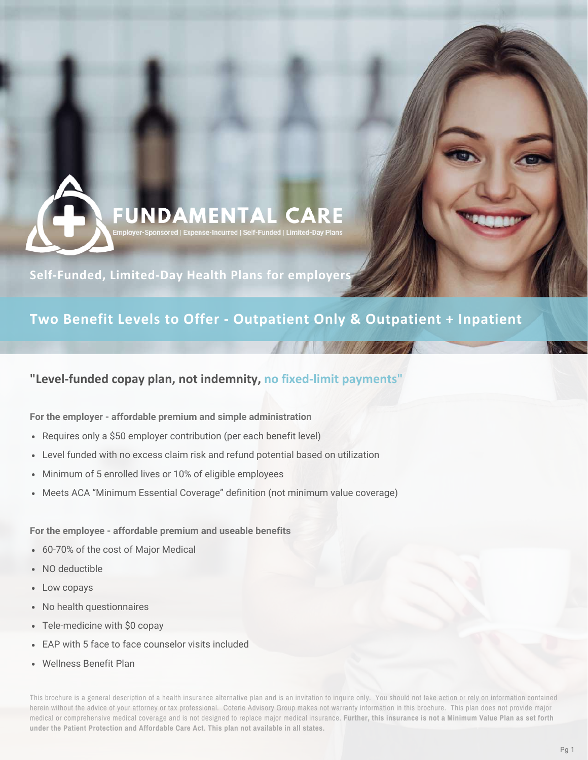# **FUNDAMENTAL CARE If-Funded | Limited-Day Plar**

**Self-Funded, Limited-Day Health Plans for employers**

## **Two Benefit Levels to Offer - Outpatient Only & Outpatient + Inpatient**

## **"Level-funded copay plan, not indemnity, no fixed-limit payments"**

#### **For the employer - affordable premium and simple administration**

- Requires only a \$50 employer contribution (per each benefit level)
- Level funded with no excess claim risk and refund potential based on utilization
- Minimum of 5 enrolled lives or 10% of eligible employees
- Meets ACA "Minimum Essential Coverage" definition (not minimum value coverage)

#### **For the employee - affordable premium and useable benefits**

- 60-70% of the cost of Major Medical
- NO deductible
- Low copays
- No health questionnaires
- Tele-medicine with \$0 copay
- EAP with 5 face to face counselor visits included
- Wellness Benefit Plan

This brochure is a general description of a health insurance alternative plan and is an invitation to inquire only. You should not take action or rely on information contained herein without the advice of your attorney or tax professional. Coterie Advisory Group makes not warranty information in this brochure. This plan does not provide major medical or comprehensive medical coverage and is not designed to replace major medical insurance. Further, this insurance is not a Minimum Value Plan as set forth **under the Patient Protection and Affordable Care Act. This plan not available in all states.**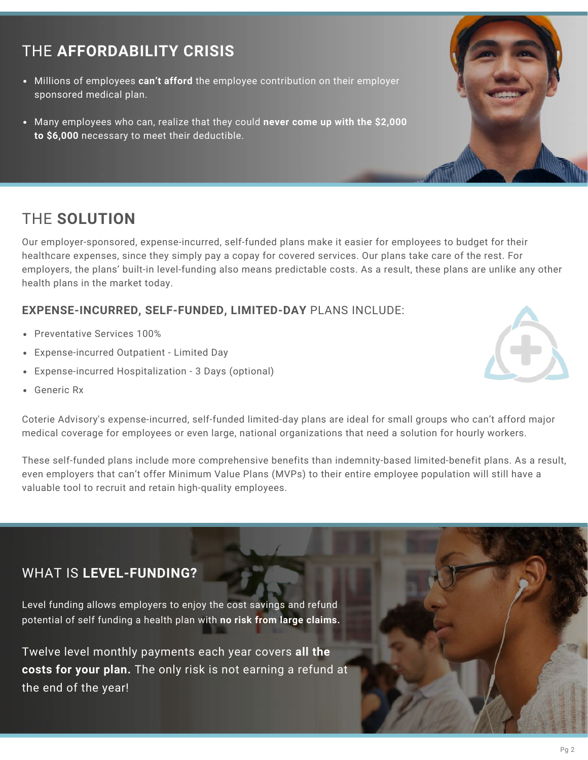## THE **AFFORDABILITY CRISIS**

- Millions of employees **can't afford** the employee contribution on their employer sponsored medical plan.
- Many employees who can, realize that they could **never come up with the \$2,000 to \$6,000** necessary to meet their deductible.

## THE **SOLUTION**

Our employer-sponsored, expense-incurred, self-funded plans make it easier for employees to budget for their healthcare expenses, since they simply pay a copay for covered services. Our plans take care of the rest. For employers, the plans' built-in level-funding also means predictable costs. As a result, these plans are unlike any other health plans in the market today.

## **EXPENSE-INCURRED, SELF-FUNDED, LIMITED-DAY** PLANS INCLUDE:

- Preventative Services 100%
- Expense-incurred Outpatient Limited Day
- Expense-incurred Hospitalization 3 Days (optional)
- Generic Rx



These self-funded plans include more comprehensive benefits than indemnity-based limited-benefit plans. As a result, even employers that can't offer Minimum Value Plans (MVPs) to their entire employee population will still have a valuable tool to recruit and retain high-quality employees.

## WHAT IS **LEVEL-FUNDING?**

Level funding allows employers to enjoy the cost savings and refund potential of self funding a health plan with **no risk from large claims.**

Twelve level monthly payments each year covers **all the costs for your plan.** The only risk is not earning a refund at the end of the year!



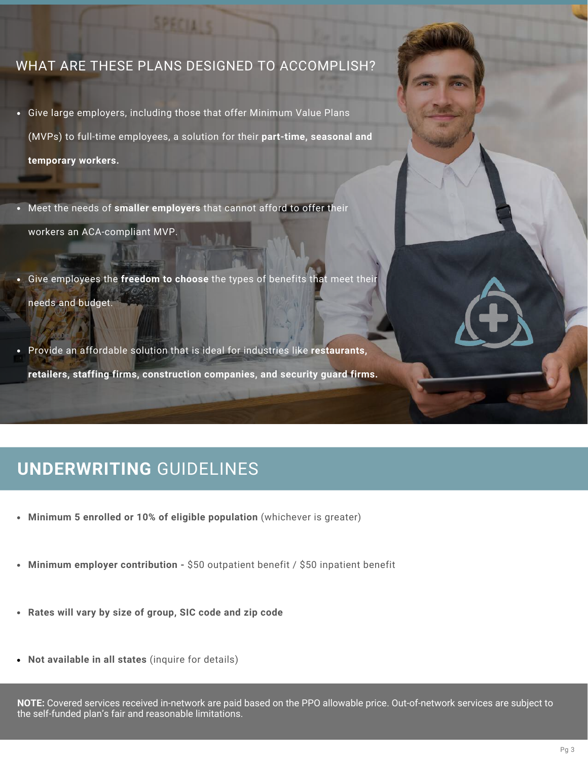## WHAT ARE THESE PLANS DESIGNED TO ACCOMPLISH?

- Give large employers, including those that offer Minimum Value Plans (MVPs) to full-time employees, a solution for their **part-time, seasonal and temporary workers.**
- Meet the needs of **smaller employers** that cannot afford to offer their workers an ACA-compliant MVP.

**CONTRACT** 

- Give employees the **freedom to choose** the types of benefits that meet their needs and budget.
- Provide an affordable solution that is ideal for industries like **restaurants, retailers, staffing firms, construction companies, and security guard firms.**

## **UNDERWRITING** GUIDELINES

- **Minimum 5 enrolled or 10% of eligible population** (whichever is greater)
- **Minimum employer contribution -** \$50 outpatient benefit / \$50 inpatient benefit
- **Rates will vary by size of group, SIC code and zip code**
- **Not available in all states** (inquire for details)

**NOTE:** Covered services received in-network are paid based on the PPO allowable price. Out-of-network services are subject to the self-funded plan's fair and reasonable limitations.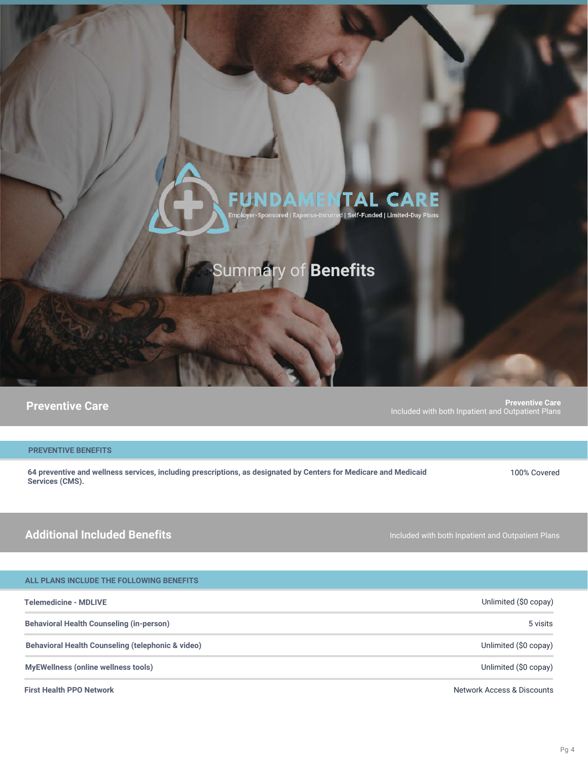# TAL CARE

# mmary of **Benefits**

**Preventive Care Preventive Care** Included with both Inpatient and Outpatient Plans

#### **PREVENTIVE BENEFITS**

**64 preventive and wellness services, including prescriptions, as designated by Centers for Medicare and Medicaid Services (CMS).**

100% Covered

## **Additional Included Benefits**

| ALL PLANS INCLUDE THE FOLLOWING BENEFITS |  |  |  |  |
|------------------------------------------|--|--|--|--|
|------------------------------------------|--|--|--|--|

| <b>Telemedicine - MDLIVE</b>                      | Unlimited (\$0 copay)      |
|---------------------------------------------------|----------------------------|
| <b>Behavioral Health Counseling (in-person)</b>   | 5 visits                   |
| Behavioral Health Counseling (telephonic & video) | Unlimited (\$0 copay)      |
| <b>MyEWellness (online wellness tools)</b>        | Unlimited (\$0 copay)      |
| <b>First Health PPO Network</b>                   | Network Access & Discounts |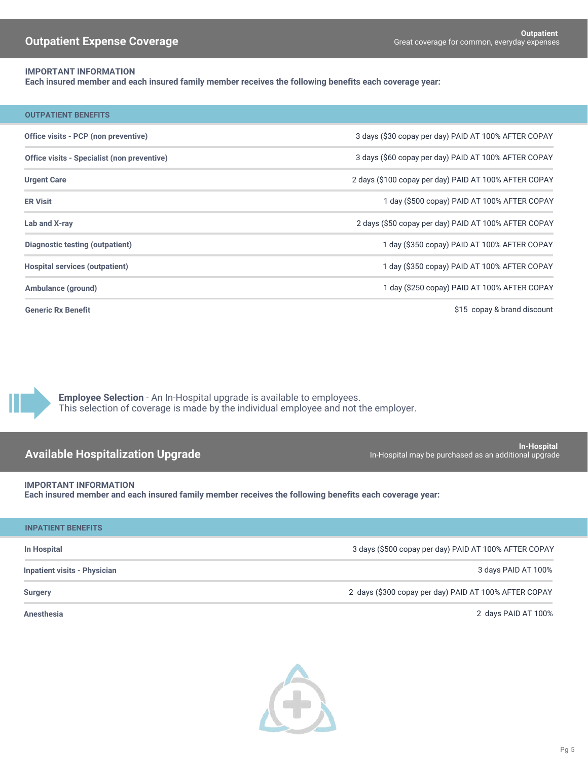#### **IMPORTANT INFORMATION**

**Each insured member and each insured family member receives the following benefits each coverage year:**

| <b>OUTPATIENT BENEFITS</b>                  |                                                       |
|---------------------------------------------|-------------------------------------------------------|
| Office visits - PCP (non preventive)        | 3 days (\$30 copay per day) PAID AT 100% AFTER COPAY  |
| Office visits - Specialist (non preventive) | 3 days (\$60 copay per day) PAID AT 100% AFTER COPAY  |
| <b>Urgent Care</b>                          | 2 days (\$100 copay per day) PAID AT 100% AFTER COPAY |
| <b>ER Visit</b>                             | 1 day (\$500 copay) PAID AT 100% AFTER COPAY          |
| Lab and X-ray                               | 2 days (\$50 copay per day) PAID AT 100% AFTER COPAY  |
| Diagnostic testing (outpatient)             | 1 day (\$350 copay) PAID AT 100% AFTER COPAY          |
| <b>Hospital services (outpatient)</b>       | 1 day (\$350 copay) PAID AT 100% AFTER COPAY          |
| Ambulance (ground)                          | 1 day (\$250 copay) PAID AT 100% AFTER COPAY          |
| <b>Generic Rx Benefit</b>                   | \$15 copay & brand discount                           |

**Employee Selection** - An In-Hospital upgrade is available to employees. This selection of coverage is made by the individual employee and not the employer.

**In-Hospital**<br>In-Hospital in the purchased as an additional upgrade In-Hospital may be purchased as an additional upgrade

**IMPORTANT INFORMATION**

**Each insured member and each insured family member receives the following benefits each coverage year:**

| <b>INPATIENT BENEFITS</b>           |                                                       |
|-------------------------------------|-------------------------------------------------------|
| In Hospital                         | 3 days (\$500 copay per day) PAID AT 100% AFTER COPAY |
| <b>Inpatient visits - Physician</b> | 3 days PAID AT 100%                                   |
| <b>Surgery</b>                      | 2 days (\$300 copay per day) PAID AT 100% AFTER COPAY |

**Anesthesia** 2 days PAID AT 100%

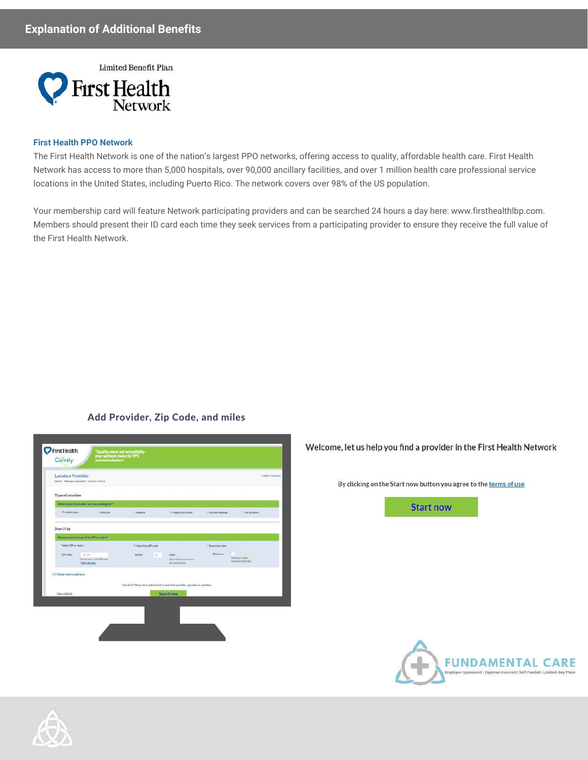### **Explanation of Additional Benefits**



#### **First Health PPO Network**

The First Health Network is one of the nation's largest PPO networks, offering access to quality, affordable health care. First Health Network has access to more than 5,000 hospitals, over 90,000 ancillary facilities, and over 1 million health care professional service locations in the United States, including Puerto Rico. The network covers over 98% of the US population.

Your membership card will feature Network participating providers and can be searched 24 hours a day here: www.firsthealthlbp.com. Members should present their ID card each time they seek services from a participating provider to ensure they receive the full value of the First Health Network.

#### Add Provider, Zip Code, and miles

| Locate a Provider     | Hane - Network selection - Tearch criteria         |                      |        |                                                                                   |                 |                                  | <b>English Expand</b> |
|-----------------------|----------------------------------------------------|----------------------|--------|-----------------------------------------------------------------------------------|-----------------|----------------------------------|-----------------------|
| Type of provider      |                                                    |                      |        |                                                                                   |                 |                                  |                       |
|                       | What type of provider are you booking for?         |                      |        |                                                                                   |                 |                                  |                       |
| тРонкиспон-           | <b>Physician</b>                                   | <b>Hospital</b>      |        | Illigard care connec-                                                             | Libertridding   | Al providers.                    |                       |
| Search by             |                                                    |                      |        |                                                                                   |                 |                                  |                       |
|                       | De you want to search by ZiP enstate?              |                      |        |                                                                                   |                 |                                  |                       |
| Select 20 or state 1  |                                                    | E Searchtry ZIP code |        |                                                                                   | Search by state |                                  |                       |
| 120 code:             | Zitzen.<br>business and 20 min.<br><b>Columnsk</b> | <b>And Here</b>      | $\sim$ | resus.<br>Aduction telecommuni-<br>abicope datema                                 | Distance:       | Webwerthelm<br>Maxware 200 vites |                       |
| [+] Show more options |                                                    |                      |        |                                                                                   |                 |                                  |                       |
|                       |                                                    |                      |        | Use the [+] Show more spidors link to sparsh by provider, specialty or condition. |                 |                                  |                       |
| Citat criticia        |                                                    |                      |        | Search now                                                                        |                 |                                  |                       |
|                       |                                                    |                      |        |                                                                                   |                 |                                  |                       |
|                       |                                                    |                      |        |                                                                                   |                 |                                  |                       |

Welcome, let us help you find a provider in the First Health Network

By clicking on the Start now button you agree to the terms of use

**Start now** 

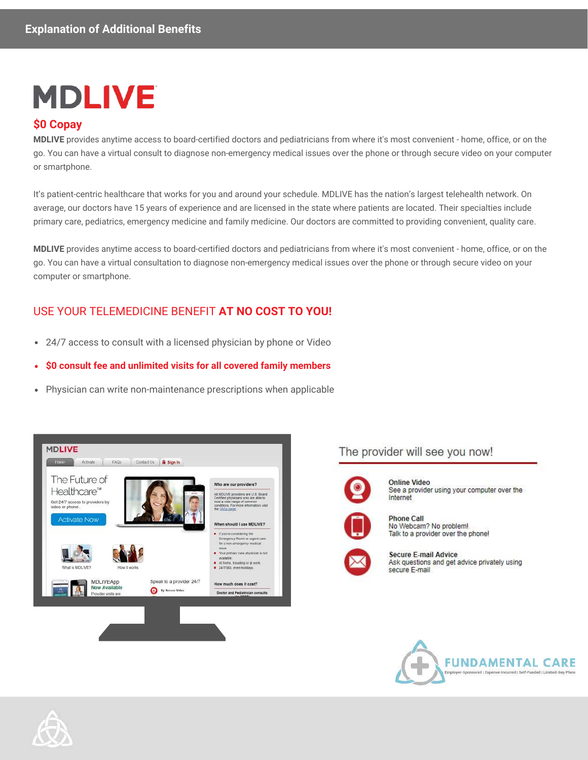# **MDLIVE**

### **\$0 Copay**

**MDLIVE** provides anytime access to board-certified doctors and pediatricians from where it's most convenient - home, office, or on the go. You can have a virtual consult to diagnose non-emergency medical issues over the phone or through secure video on your computer or smartphone.

It's patient-centric healthcare that works for you and around your schedule. MDLIVE has the nation's largest telehealth network. On average, our doctors have 15 years of experience and are licensed in the state where patients are located. Their specialties include primary care, pediatrics, emergency medicine and family medicine. Our doctors are committed to providing convenient, quality care.

**MDLIVE** provides anytime access to board-certified doctors and pediatricians from where it's most convenient - home, office, or on the go. You can have a virtual consultation to diagnose non-emergency medical issues over the phone or through secure video on your computer or smartphone.

## USE YOUR TELEMEDICINE BENEFIT **AT NO COST TO YOU!**

- 24/7 access to consult with a licensed physician by phone or Video  $\bullet$
- **\$0 consult fee and unlimited visits for all covered family members**  $\bullet$
- Physician can write non-maintenance prescriptions when applicable



The provider will see you now!



Online Video See a provider using your computer over the Internet

**Phone Call** No Webcam? No problem! Talk to a provider over the phone!





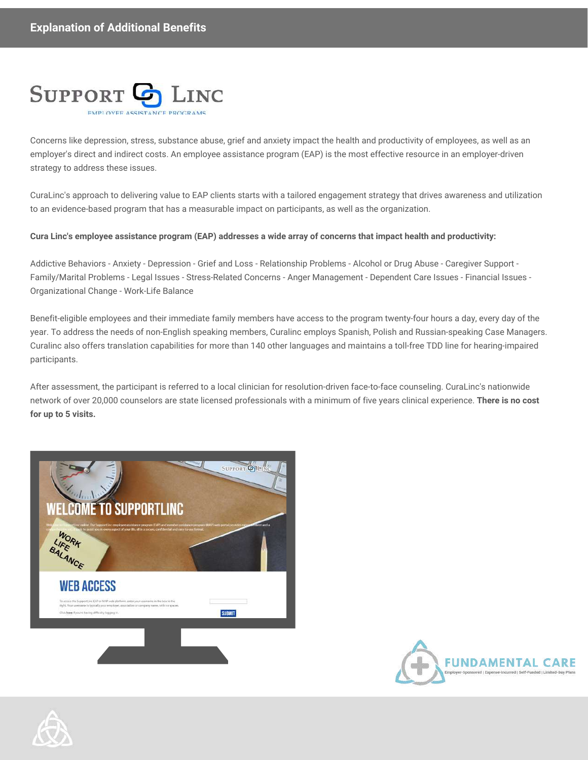

Concerns like depression, stress, substance abuse, grief and anxiety impact the health and productivity of employees, as well as an employer's direct and indirect costs. An employee assistance program (EAP) is the most effective resource in an employer-driven strategy to address these issues.

CuraLinc's approach to delivering value to EAP clients starts with a tailored engagement strategy that drives awareness and utilization to an evidence-based program that has a measurable impact on participants, as well as the organization.

#### **Cura Linc's employee assistance program (EAP) addresses a wide array of concerns that impact health and productivity:**

Addictive Behaviors - Anxiety - Depression - Grief and Loss - Relationship Problems - Alcohol or Drug Abuse - Caregiver Support - Family/Marital Problems - Legal Issues - Stress-Related Concerns - Anger Management - Dependent Care Issues - Financial Issues - Organizational Change - Work-Life Balance

Benefit-eligible employees and their immediate family members have access to the program twenty-four hours a day, every day of the year. To address the needs of non-English speaking members, Curalinc employs Spanish, Polish and Russian-speaking Case Managers. Curalinc also offers translation capabilities for more than 140 other languages and maintains a toll-free TDD line for hearing-impaired participants.

After assessment, the participant is referred to a local clinician for resolution-driven face-to-face counseling. CuraLinc's nationwide network of over 20,000 counselors are state licensed professionals with a minimum of five years clinical experience. **There is no cost for up to 5 visits.**